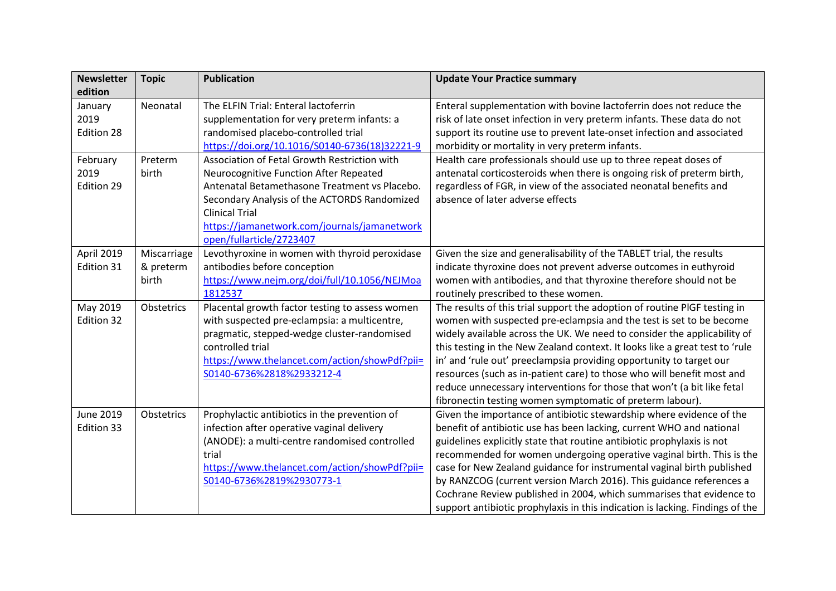| <b>Newsletter</b><br>edition   | <b>Topic</b>                      | <b>Publication</b>                                                                                                                                                                                                                                               | <b>Update Your Practice summary</b>                                                                                                                                                                                                                                                                                                                                                                                                                                                                                                                                                                       |
|--------------------------------|-----------------------------------|------------------------------------------------------------------------------------------------------------------------------------------------------------------------------------------------------------------------------------------------------------------|-----------------------------------------------------------------------------------------------------------------------------------------------------------------------------------------------------------------------------------------------------------------------------------------------------------------------------------------------------------------------------------------------------------------------------------------------------------------------------------------------------------------------------------------------------------------------------------------------------------|
| January<br>2019<br>Edition 28  | Neonatal                          | The ELFIN Trial: Enteral lactoferrin<br>supplementation for very preterm infants: a<br>randomised placebo-controlled trial                                                                                                                                       | Enteral supplementation with bovine lactoferrin does not reduce the<br>risk of late onset infection in very preterm infants. These data do not<br>support its routine use to prevent late-onset infection and associated                                                                                                                                                                                                                                                                                                                                                                                  |
|                                |                                   | https://doi.org/10.1016/S0140-6736(18)32221-9                                                                                                                                                                                                                    | morbidity or mortality in very preterm infants.                                                                                                                                                                                                                                                                                                                                                                                                                                                                                                                                                           |
| February<br>2019<br>Edition 29 | Preterm<br>birth                  | Association of Fetal Growth Restriction with<br>Neurocognitive Function After Repeated<br>Antenatal Betamethasone Treatment vs Placebo.<br>Secondary Analysis of the ACTORDS Randomized<br><b>Clinical Trial</b><br>https://jamanetwork.com/journals/jamanetwork | Health care professionals should use up to three repeat doses of<br>antenatal corticosteroids when there is ongoing risk of preterm birth,<br>regardless of FGR, in view of the associated neonatal benefits and<br>absence of later adverse effects                                                                                                                                                                                                                                                                                                                                                      |
| April 2019<br>Edition 31       | Miscarriage<br>& preterm<br>birth | open/fullarticle/2723407<br>Levothyroxine in women with thyroid peroxidase<br>antibodies before conception<br>https://www.nejm.org/doi/full/10.1056/NEJMoa<br>1812537                                                                                            | Given the size and generalisability of the TABLET trial, the results<br>indicate thyroxine does not prevent adverse outcomes in euthyroid<br>women with antibodies, and that thyroxine therefore should not be<br>routinely prescribed to these women.                                                                                                                                                                                                                                                                                                                                                    |
| May 2019<br>Edition 32         | Obstetrics                        | Placental growth factor testing to assess women<br>with suspected pre-eclampsia: a multicentre,<br>pragmatic, stepped-wedge cluster-randomised<br>controlled trial<br>https://www.thelancet.com/action/showPdf?pii=<br>S0140-6736%2818%2933212-4                 | The results of this trial support the adoption of routine PIGF testing in<br>women with suspected pre-eclampsia and the test is set to be become<br>widely available across the UK. We need to consider the applicability of<br>this testing in the New Zealand context. It looks like a great test to 'rule<br>in' and 'rule out' preeclampsia providing opportunity to target our<br>resources (such as in-patient care) to those who will benefit most and<br>reduce unnecessary interventions for those that won't (a bit like fetal<br>fibronectin testing women symptomatic of preterm labour).     |
| <b>June 2019</b><br>Edition 33 | Obstetrics                        | Prophylactic antibiotics in the prevention of<br>infection after operative vaginal delivery<br>(ANODE): a multi-centre randomised controlled<br>trial<br>https://www.thelancet.com/action/showPdf?pii=<br>S0140-6736%2819%2930773-1                              | Given the importance of antibiotic stewardship where evidence of the<br>benefit of antibiotic use has been lacking, current WHO and national<br>guidelines explicitly state that routine antibiotic prophylaxis is not<br>recommended for women undergoing operative vaginal birth. This is the<br>case for New Zealand guidance for instrumental vaginal birth published<br>by RANZCOG (current version March 2016). This guidance references a<br>Cochrane Review published in 2004, which summarises that evidence to<br>support antibiotic prophylaxis in this indication is lacking. Findings of the |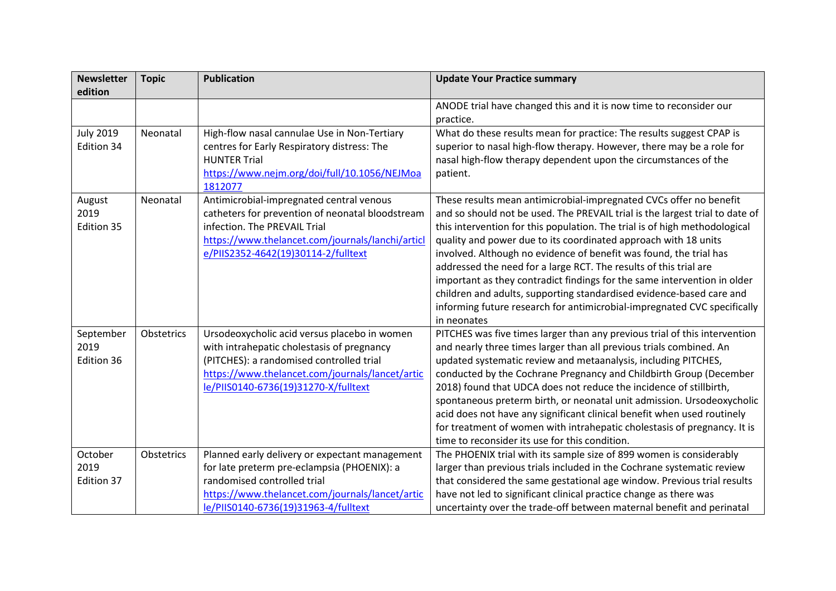| <b>Newsletter</b> | <b>Topic</b> | <b>Publication</b>                               | <b>Update Your Practice summary</b>                                          |
|-------------------|--------------|--------------------------------------------------|------------------------------------------------------------------------------|
| edition           |              |                                                  |                                                                              |
|                   |              |                                                  | ANODE trial have changed this and it is now time to reconsider our           |
|                   |              |                                                  | practice.                                                                    |
| <b>July 2019</b>  | Neonatal     | High-flow nasal cannulae Use in Non-Tertiary     | What do these results mean for practice: The results suggest CPAP is         |
| Edition 34        |              | centres for Early Respiratory distress: The      | superior to nasal high-flow therapy. However, there may be a role for        |
|                   |              | <b>HUNTER Trial</b>                              | nasal high-flow therapy dependent upon the circumstances of the              |
|                   |              | https://www.nejm.org/doi/full/10.1056/NEJMoa     | patient.                                                                     |
|                   |              | 1812077                                          |                                                                              |
| August            | Neonatal     | Antimicrobial-impregnated central venous         | These results mean antimicrobial-impregnated CVCs offer no benefit           |
| 2019              |              | catheters for prevention of neonatal bloodstream | and so should not be used. The PREVAIL trial is the largest trial to date of |
| Edition 35        |              | infection. The PREVAIL Trial                     | this intervention for this population. The trial is of high methodological   |
|                   |              | https://www.thelancet.com/journals/lanchi/articl | quality and power due to its coordinated approach with 18 units              |
|                   |              | e/PIIS2352-4642(19)30114-2/fulltext              | involved. Although no evidence of benefit was found, the trial has           |
|                   |              |                                                  | addressed the need for a large RCT. The results of this trial are            |
|                   |              |                                                  | important as they contradict findings for the same intervention in older     |
|                   |              |                                                  | children and adults, supporting standardised evidence-based care and         |
|                   |              |                                                  | informing future research for antimicrobial-impregnated CVC specifically     |
|                   |              |                                                  | in neonates                                                                  |
| September         | Obstetrics   | Ursodeoxycholic acid versus placebo in women     | PITCHES was five times larger than any previous trial of this intervention   |
| 2019              |              | with intrahepatic cholestasis of pregnancy       | and nearly three times larger than all previous trials combined. An          |
| Edition 36        |              | (PITCHES): a randomised controlled trial         | updated systematic review and metaanalysis, including PITCHES,               |
|                   |              | https://www.thelancet.com/journals/lancet/artic  | conducted by the Cochrane Pregnancy and Childbirth Group (December           |
|                   |              | le/PIIS0140-6736(19)31270-X/fulltext             | 2018) found that UDCA does not reduce the incidence of stillbirth,           |
|                   |              |                                                  | spontaneous preterm birth, or neonatal unit admission. Ursodeoxycholic       |
|                   |              |                                                  | acid does not have any significant clinical benefit when used routinely      |
|                   |              |                                                  | for treatment of women with intrahepatic cholestasis of pregnancy. It is     |
|                   |              |                                                  | time to reconsider its use for this condition.                               |
| October           | Obstetrics   | Planned early delivery or expectant management   | The PHOENIX trial with its sample size of 899 women is considerably          |
| 2019              |              | for late preterm pre-eclampsia (PHOENIX): a      | larger than previous trials included in the Cochrane systematic review       |
| Edition 37        |              | randomised controlled trial                      | that considered the same gestational age window. Previous trial results      |
|                   |              | https://www.thelancet.com/journals/lancet/artic  | have not led to significant clinical practice change as there was            |
|                   |              | le/PIIS0140-6736(19)31963-4/fulltext             | uncertainty over the trade-off between maternal benefit and perinatal        |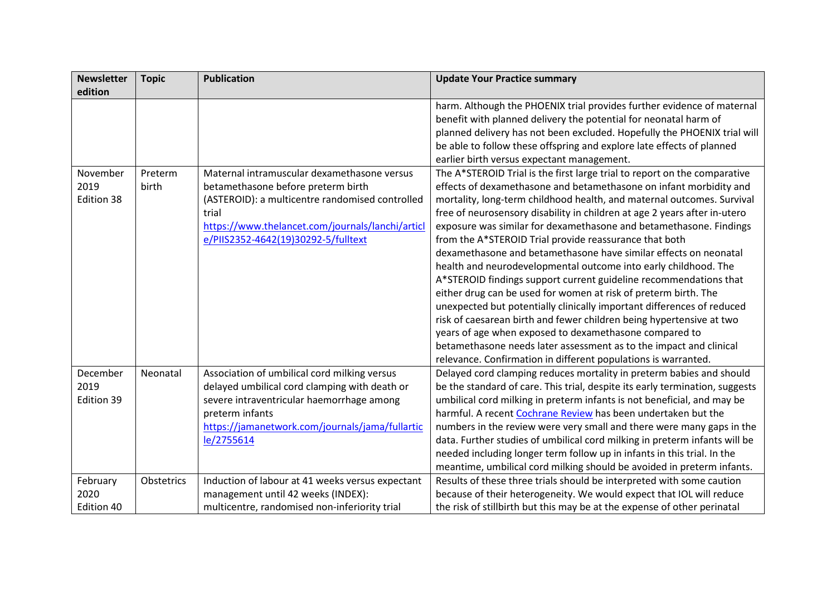| <b>Newsletter</b> | <b>Topic</b> | <b>Publication</b>                               | <b>Update Your Practice summary</b>                                          |
|-------------------|--------------|--------------------------------------------------|------------------------------------------------------------------------------|
| edition           |              |                                                  |                                                                              |
|                   |              |                                                  | harm. Although the PHOENIX trial provides further evidence of maternal       |
|                   |              |                                                  | benefit with planned delivery the potential for neonatal harm of             |
|                   |              |                                                  | planned delivery has not been excluded. Hopefully the PHOENIX trial will     |
|                   |              |                                                  | be able to follow these offspring and explore late effects of planned        |
|                   |              |                                                  | earlier birth versus expectant management.                                   |
| November          | Preterm      | Maternal intramuscular dexamethasone versus      | The A*STEROID Trial is the first large trial to report on the comparative    |
| 2019              | birth        | betamethasone before preterm birth               | effects of dexamethasone and betamethasone on infant morbidity and           |
| Edition 38        |              | (ASTEROID): a multicentre randomised controlled  | mortality, long-term childhood health, and maternal outcomes. Survival       |
|                   |              | trial                                            | free of neurosensory disability in children at age 2 years after in-utero    |
|                   |              | https://www.thelancet.com/journals/lanchi/articl | exposure was similar for dexamethasone and betamethasone. Findings           |
|                   |              | e/PIIS2352-4642(19)30292-5/fulltext              | from the A*STEROID Trial provide reassurance that both                       |
|                   |              |                                                  | dexamethasone and betamethasone have similar effects on neonatal             |
|                   |              |                                                  | health and neurodevelopmental outcome into early childhood. The              |
|                   |              |                                                  | A*STEROID findings support current guideline recommendations that            |
|                   |              |                                                  | either drug can be used for women at risk of preterm birth. The              |
|                   |              |                                                  | unexpected but potentially clinically important differences of reduced       |
|                   |              |                                                  | risk of caesarean birth and fewer children being hypertensive at two         |
|                   |              |                                                  | years of age when exposed to dexamethasone compared to                       |
|                   |              |                                                  | betamethasone needs later assessment as to the impact and clinical           |
|                   |              |                                                  | relevance. Confirmation in different populations is warranted.               |
| December          | Neonatal     | Association of umbilical cord milking versus     | Delayed cord clamping reduces mortality in preterm babies and should         |
| 2019              |              | delayed umbilical cord clamping with death or    | be the standard of care. This trial, despite its early termination, suggests |
| Edition 39        |              | severe intraventricular haemorrhage among        | umbilical cord milking in preterm infants is not beneficial, and may be      |
|                   |              | preterm infants                                  | harmful. A recent Cochrane Review has been undertaken but the                |
|                   |              | https://jamanetwork.com/journals/jama/fullartic  | numbers in the review were very small and there were many gaps in the        |
|                   |              | le/2755614                                       | data. Further studies of umbilical cord milking in preterm infants will be   |
|                   |              |                                                  | needed including longer term follow up in infants in this trial. In the      |
|                   |              |                                                  | meantime, umbilical cord milking should be avoided in preterm infants.       |
| February          | Obstetrics   | Induction of labour at 41 weeks versus expectant | Results of these three trials should be interpreted with some caution        |
| 2020              |              | management until 42 weeks (INDEX):               | because of their heterogeneity. We would expect that IOL will reduce         |
| Edition 40        |              | multicentre, randomised non-inferiority trial    | the risk of stillbirth but this may be at the expense of other perinatal     |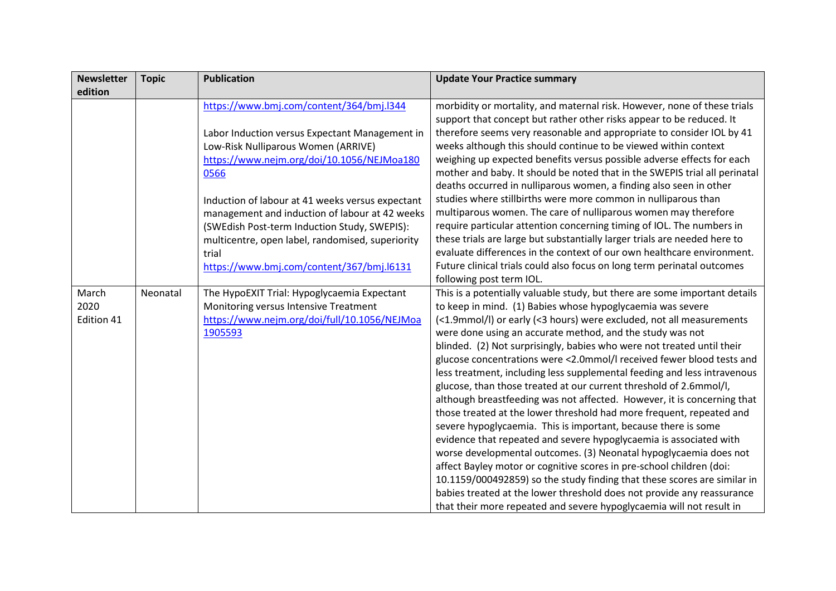| <b>Newsletter</b> | <b>Topic</b> | <b>Publication</b>                               | <b>Update Your Practice summary</b>                                                                                                       |
|-------------------|--------------|--------------------------------------------------|-------------------------------------------------------------------------------------------------------------------------------------------|
| edition           |              |                                                  |                                                                                                                                           |
|                   |              | https://www.bmj.com/content/364/bmj.l344         | morbidity or mortality, and maternal risk. However, none of these trials                                                                  |
|                   |              |                                                  | support that concept but rather other risks appear to be reduced. It                                                                      |
|                   |              | Labor Induction versus Expectant Management in   | therefore seems very reasonable and appropriate to consider IOL by 41                                                                     |
|                   |              | Low-Risk Nulliparous Women (ARRIVE)              | weeks although this should continue to be viewed within context                                                                           |
|                   |              | https://www.nejm.org/doi/10.1056/NEJMoa180       | weighing up expected benefits versus possible adverse effects for each                                                                    |
|                   |              | 0566                                             | mother and baby. It should be noted that in the SWEPIS trial all perinatal                                                                |
|                   |              |                                                  | deaths occurred in nulliparous women, a finding also seen in other                                                                        |
|                   |              | Induction of labour at 41 weeks versus expectant | studies where stillbirths were more common in nulliparous than                                                                            |
|                   |              | management and induction of labour at 42 weeks   | multiparous women. The care of nulliparous women may therefore                                                                            |
|                   |              | (SWEdish Post-term Induction Study, SWEPIS):     | require particular attention concerning timing of IOL. The numbers in                                                                     |
|                   |              | multicentre, open label, randomised, superiority | these trials are large but substantially larger trials are needed here to                                                                 |
|                   |              | trial                                            | evaluate differences in the context of our own healthcare environment.                                                                    |
|                   |              | https://www.bmj.com/content/367/bmj.l6131        | Future clinical trials could also focus on long term perinatal outcomes                                                                   |
|                   |              |                                                  | following post term IOL.                                                                                                                  |
| March             | Neonatal     | The HypoEXIT Trial: Hypoglycaemia Expectant      | This is a potentially valuable study, but there are some important details                                                                |
| 2020              |              | Monitoring versus Intensive Treatment            | to keep in mind. (1) Babies whose hypoglycaemia was severe                                                                                |
| Edition 41        |              | https://www.nejm.org/doi/full/10.1056/NEJMoa     | (<1.9mmol/l) or early (<3 hours) were excluded, not all measurements                                                                      |
|                   |              | 1905593                                          | were done using an accurate method, and the study was not                                                                                 |
|                   |              |                                                  | blinded. (2) Not surprisingly, babies who were not treated until their                                                                    |
|                   |              |                                                  | glucose concentrations were <2.0mmol/I received fewer blood tests and                                                                     |
|                   |              |                                                  | less treatment, including less supplemental feeding and less intravenous                                                                  |
|                   |              |                                                  | glucose, than those treated at our current threshold of 2.6mmol/l,                                                                        |
|                   |              |                                                  | although breastfeeding was not affected. However, it is concerning that                                                                   |
|                   |              |                                                  | those treated at the lower threshold had more frequent, repeated and                                                                      |
|                   |              |                                                  | severe hypoglycaemia. This is important, because there is some                                                                            |
|                   |              |                                                  | evidence that repeated and severe hypoglycaemia is associated with                                                                        |
|                   |              |                                                  | worse developmental outcomes. (3) Neonatal hypoglycaemia does not<br>affect Bayley motor or cognitive scores in pre-school children (doi: |
|                   |              |                                                  | 10.1159/000492859) so the study finding that these scores are similar in                                                                  |
|                   |              |                                                  | babies treated at the lower threshold does not provide any reassurance                                                                    |
|                   |              |                                                  | that their more repeated and severe hypoglycaemia will not result in                                                                      |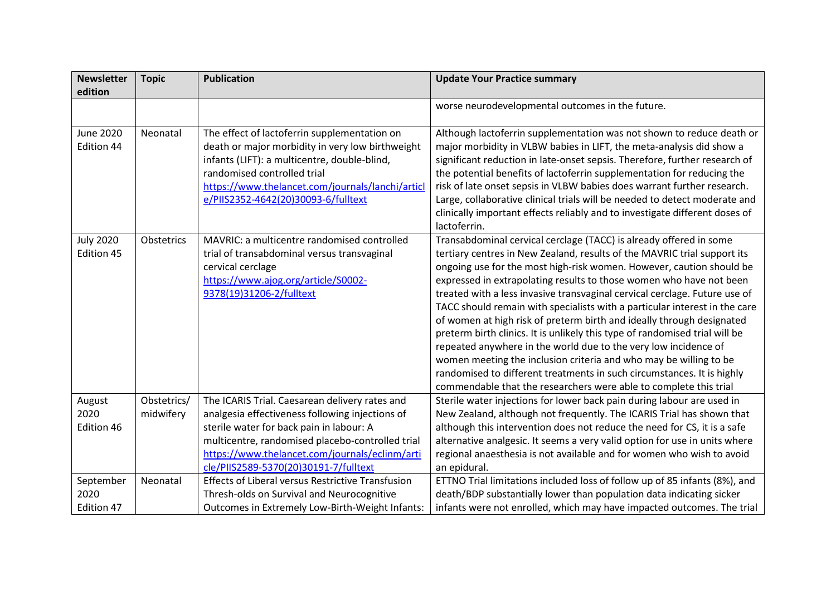| <b>Newsletter</b><br>edition    | <b>Topic</b>             | <b>Publication</b>                                                                                                                                                                                                                                                                           | <b>Update Your Practice summary</b>                                                                                                                                                                                                                                                                                                                                                                                                                                                                                                                                                                                                                                                                                                                                                                                                                                                                      |
|---------------------------------|--------------------------|----------------------------------------------------------------------------------------------------------------------------------------------------------------------------------------------------------------------------------------------------------------------------------------------|----------------------------------------------------------------------------------------------------------------------------------------------------------------------------------------------------------------------------------------------------------------------------------------------------------------------------------------------------------------------------------------------------------------------------------------------------------------------------------------------------------------------------------------------------------------------------------------------------------------------------------------------------------------------------------------------------------------------------------------------------------------------------------------------------------------------------------------------------------------------------------------------------------|
|                                 |                          |                                                                                                                                                                                                                                                                                              | worse neurodevelopmental outcomes in the future.                                                                                                                                                                                                                                                                                                                                                                                                                                                                                                                                                                                                                                                                                                                                                                                                                                                         |
| <b>June 2020</b><br>Edition 44  | Neonatal                 | The effect of lactoferrin supplementation on<br>death or major morbidity in very low birthweight<br>infants (LIFT): a multicentre, double-blind,<br>randomised controlled trial<br>https://www.thelancet.com/journals/lanchi/articl<br>e/PIIS2352-4642(20)30093-6/fulltext                   | Although lactoferrin supplementation was not shown to reduce death or<br>major morbidity in VLBW babies in LIFT, the meta-analysis did show a<br>significant reduction in late-onset sepsis. Therefore, further research of<br>the potential benefits of lactoferrin supplementation for reducing the<br>risk of late onset sepsis in VLBW babies does warrant further research.<br>Large, collaborative clinical trials will be needed to detect moderate and<br>clinically important effects reliably and to investigate different doses of<br>lactoferrin.                                                                                                                                                                                                                                                                                                                                            |
| <b>July 2020</b><br>Edition 45  | Obstetrics               | MAVRIC: a multicentre randomised controlled<br>trial of transabdominal versus transvaginal<br>cervical cerclage<br>https://www.ajog.org/article/S0002-<br>9378(19)31206-2/fulltext                                                                                                           | Transabdominal cervical cerclage (TACC) is already offered in some<br>tertiary centres in New Zealand, results of the MAVRIC trial support its<br>ongoing use for the most high-risk women. However, caution should be<br>expressed in extrapolating results to those women who have not been<br>treated with a less invasive transvaginal cervical cerclage. Future use of<br>TACC should remain with specialists with a particular interest in the care<br>of women at high risk of preterm birth and ideally through designated<br>preterm birth clinics. It is unlikely this type of randomised trial will be<br>repeated anywhere in the world due to the very low incidence of<br>women meeting the inclusion criteria and who may be willing to be<br>randomised to different treatments in such circumstances. It is highly<br>commendable that the researchers were able to complete this trial |
| August<br>2020<br>Edition 46    | Obstetrics/<br>midwifery | The ICARIS Trial. Caesarean delivery rates and<br>analgesia effectiveness following injections of<br>sterile water for back pain in labour: A<br>multicentre, randomised placebo-controlled trial<br>https://www.thelancet.com/journals/eclinm/arti<br>cle/PIIS2589-5370(20)30191-7/fulltext | Sterile water injections for lower back pain during labour are used in<br>New Zealand, although not frequently. The ICARIS Trial has shown that<br>although this intervention does not reduce the need for CS, it is a safe<br>alternative analgesic. It seems a very valid option for use in units where<br>regional anaesthesia is not available and for women who wish to avoid<br>an epidural.                                                                                                                                                                                                                                                                                                                                                                                                                                                                                                       |
| September<br>2020<br>Edition 47 | Neonatal                 | Effects of Liberal versus Restrictive Transfusion<br>Thresh-olds on Survival and Neurocognitive<br>Outcomes in Extremely Low-Birth-Weight Infants:                                                                                                                                           | ETTNO Trial limitations included loss of follow up of 85 infants (8%), and<br>death/BDP substantially lower than population data indicating sicker<br>infants were not enrolled, which may have impacted outcomes. The trial                                                                                                                                                                                                                                                                                                                                                                                                                                                                                                                                                                                                                                                                             |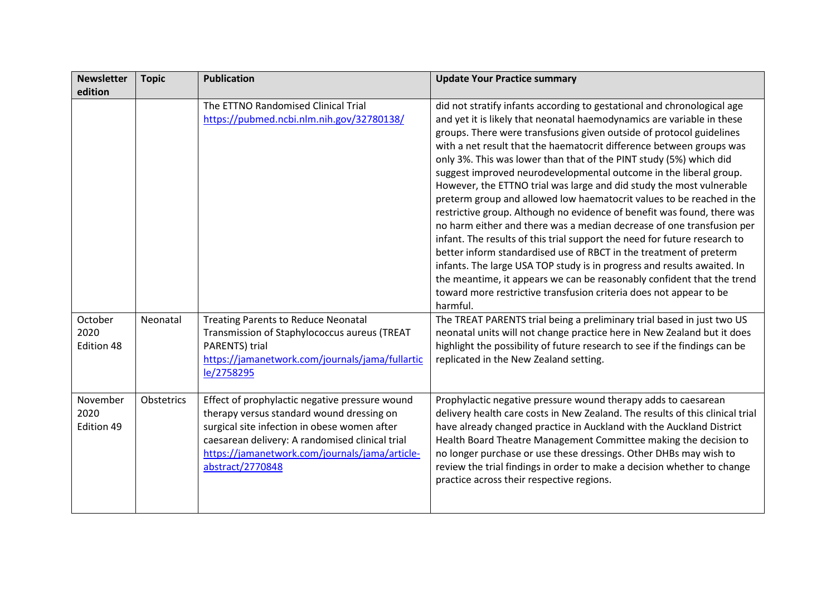| <b>Newsletter</b>              | <b>Topic</b> | <b>Publication</b>                                                                                                                                                                                                                                                   | <b>Update Your Practice summary</b>                                                                                                                                                                                                                                                                                                                                                                                                                                                      |
|--------------------------------|--------------|----------------------------------------------------------------------------------------------------------------------------------------------------------------------------------------------------------------------------------------------------------------------|------------------------------------------------------------------------------------------------------------------------------------------------------------------------------------------------------------------------------------------------------------------------------------------------------------------------------------------------------------------------------------------------------------------------------------------------------------------------------------------|
| edition                        |              |                                                                                                                                                                                                                                                                      |                                                                                                                                                                                                                                                                                                                                                                                                                                                                                          |
|                                |              | The ETTNO Randomised Clinical Trial                                                                                                                                                                                                                                  | did not stratify infants according to gestational and chronological age                                                                                                                                                                                                                                                                                                                                                                                                                  |
|                                |              | https://pubmed.ncbi.nlm.nih.gov/32780138/                                                                                                                                                                                                                            | and yet it is likely that neonatal haemodynamics are variable in these                                                                                                                                                                                                                                                                                                                                                                                                                   |
|                                |              |                                                                                                                                                                                                                                                                      | groups. There were transfusions given outside of protocol guidelines                                                                                                                                                                                                                                                                                                                                                                                                                     |
|                                |              |                                                                                                                                                                                                                                                                      | with a net result that the haematocrit difference between groups was                                                                                                                                                                                                                                                                                                                                                                                                                     |
|                                |              |                                                                                                                                                                                                                                                                      | only 3%. This was lower than that of the PINT study (5%) which did                                                                                                                                                                                                                                                                                                                                                                                                                       |
|                                |              |                                                                                                                                                                                                                                                                      | suggest improved neurodevelopmental outcome in the liberal group.                                                                                                                                                                                                                                                                                                                                                                                                                        |
|                                |              |                                                                                                                                                                                                                                                                      | However, the ETTNO trial was large and did study the most vulnerable                                                                                                                                                                                                                                                                                                                                                                                                                     |
|                                |              |                                                                                                                                                                                                                                                                      | preterm group and allowed low haematocrit values to be reached in the                                                                                                                                                                                                                                                                                                                                                                                                                    |
|                                |              |                                                                                                                                                                                                                                                                      | restrictive group. Although no evidence of benefit was found, there was                                                                                                                                                                                                                                                                                                                                                                                                                  |
|                                |              |                                                                                                                                                                                                                                                                      | no harm either and there was a median decrease of one transfusion per                                                                                                                                                                                                                                                                                                                                                                                                                    |
|                                |              |                                                                                                                                                                                                                                                                      | infant. The results of this trial support the need for future research to                                                                                                                                                                                                                                                                                                                                                                                                                |
|                                |              |                                                                                                                                                                                                                                                                      | better inform standardised use of RBCT in the treatment of preterm                                                                                                                                                                                                                                                                                                                                                                                                                       |
|                                |              |                                                                                                                                                                                                                                                                      | infants. The large USA TOP study is in progress and results awaited. In                                                                                                                                                                                                                                                                                                                                                                                                                  |
|                                |              |                                                                                                                                                                                                                                                                      | the meantime, it appears we can be reasonably confident that the trend                                                                                                                                                                                                                                                                                                                                                                                                                   |
|                                |              |                                                                                                                                                                                                                                                                      | toward more restrictive transfusion criteria does not appear to be                                                                                                                                                                                                                                                                                                                                                                                                                       |
|                                |              |                                                                                                                                                                                                                                                                      | harmful.                                                                                                                                                                                                                                                                                                                                                                                                                                                                                 |
| October                        | Neonatal     | <b>Treating Parents to Reduce Neonatal</b>                                                                                                                                                                                                                           | The TREAT PARENTS trial being a preliminary trial based in just two US                                                                                                                                                                                                                                                                                                                                                                                                                   |
| 2020                           |              | Transmission of Staphylococcus aureus (TREAT                                                                                                                                                                                                                         | neonatal units will not change practice here in New Zealand but it does                                                                                                                                                                                                                                                                                                                                                                                                                  |
| Edition 48                     |              | PARENTS) trial                                                                                                                                                                                                                                                       | highlight the possibility of future research to see if the findings can be                                                                                                                                                                                                                                                                                                                                                                                                               |
|                                |              | https://jamanetwork.com/journals/jama/fullartic                                                                                                                                                                                                                      | replicated in the New Zealand setting.                                                                                                                                                                                                                                                                                                                                                                                                                                                   |
|                                |              | le/2758295                                                                                                                                                                                                                                                           |                                                                                                                                                                                                                                                                                                                                                                                                                                                                                          |
|                                |              |                                                                                                                                                                                                                                                                      |                                                                                                                                                                                                                                                                                                                                                                                                                                                                                          |
|                                |              |                                                                                                                                                                                                                                                                      |                                                                                                                                                                                                                                                                                                                                                                                                                                                                                          |
|                                |              |                                                                                                                                                                                                                                                                      |                                                                                                                                                                                                                                                                                                                                                                                                                                                                                          |
|                                |              |                                                                                                                                                                                                                                                                      |                                                                                                                                                                                                                                                                                                                                                                                                                                                                                          |
|                                |              |                                                                                                                                                                                                                                                                      |                                                                                                                                                                                                                                                                                                                                                                                                                                                                                          |
|                                |              |                                                                                                                                                                                                                                                                      |                                                                                                                                                                                                                                                                                                                                                                                                                                                                                          |
|                                |              |                                                                                                                                                                                                                                                                      |                                                                                                                                                                                                                                                                                                                                                                                                                                                                                          |
|                                |              |                                                                                                                                                                                                                                                                      |                                                                                                                                                                                                                                                                                                                                                                                                                                                                                          |
|                                |              |                                                                                                                                                                                                                                                                      |                                                                                                                                                                                                                                                                                                                                                                                                                                                                                          |
| November<br>2020<br>Edition 49 | Obstetrics   | Effect of prophylactic negative pressure wound<br>therapy versus standard wound dressing on<br>surgical site infection in obese women after<br>caesarean delivery: A randomised clinical trial<br>https://jamanetwork.com/journals/jama/article-<br>abstract/2770848 | Prophylactic negative pressure wound therapy adds to caesarean<br>delivery health care costs in New Zealand. The results of this clinical trial<br>have already changed practice in Auckland with the Auckland District<br>Health Board Theatre Management Committee making the decision to<br>no longer purchase or use these dressings. Other DHBs may wish to<br>review the trial findings in order to make a decision whether to change<br>practice across their respective regions. |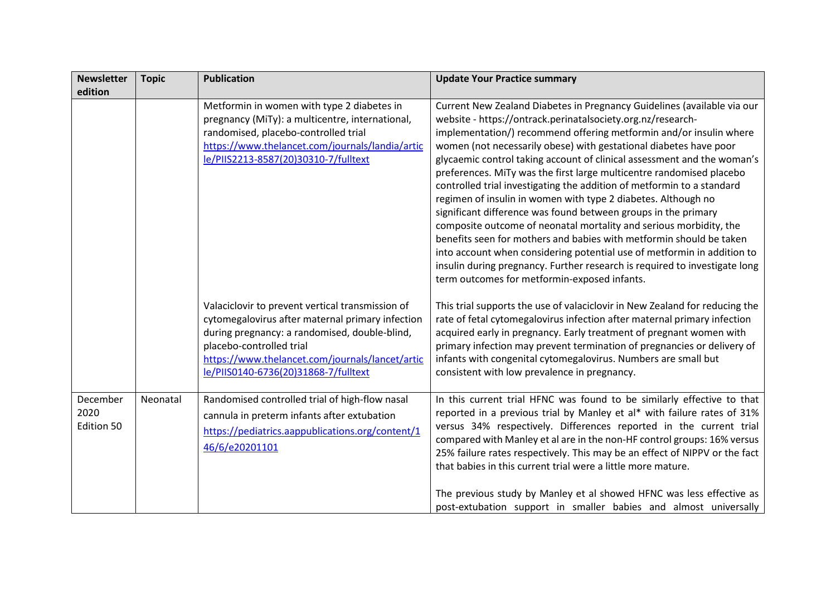| <b>Newsletter</b>              | <b>Topic</b> | <b>Publication</b>                                                                                                                                                                                                                                                           | <b>Update Your Practice summary</b>                                                                                                                                                                                                                                                                                                                                                                                                                                                                                                                                                                                                                                                                                                                                                                                                                                                                                                                                                                     |
|--------------------------------|--------------|------------------------------------------------------------------------------------------------------------------------------------------------------------------------------------------------------------------------------------------------------------------------------|---------------------------------------------------------------------------------------------------------------------------------------------------------------------------------------------------------------------------------------------------------------------------------------------------------------------------------------------------------------------------------------------------------------------------------------------------------------------------------------------------------------------------------------------------------------------------------------------------------------------------------------------------------------------------------------------------------------------------------------------------------------------------------------------------------------------------------------------------------------------------------------------------------------------------------------------------------------------------------------------------------|
| edition                        |              |                                                                                                                                                                                                                                                                              |                                                                                                                                                                                                                                                                                                                                                                                                                                                                                                                                                                                                                                                                                                                                                                                                                                                                                                                                                                                                         |
|                                |              | Metformin in women with type 2 diabetes in<br>pregnancy (MiTy): a multicentre, international,<br>randomised, placebo-controlled trial<br>https://www.thelancet.com/journals/landia/artic<br>le/PIIS2213-8587(20)30310-7/fulltext                                             | Current New Zealand Diabetes in Pregnancy Guidelines (available via our<br>website - https://ontrack.perinatalsociety.org.nz/research-<br>implementation/) recommend offering metformin and/or insulin where<br>women (not necessarily obese) with gestational diabetes have poor<br>glycaemic control taking account of clinical assessment and the woman's<br>preferences. MiTy was the first large multicentre randomised placebo<br>controlled trial investigating the addition of metformin to a standard<br>regimen of insulin in women with type 2 diabetes. Although no<br>significant difference was found between groups in the primary<br>composite outcome of neonatal mortality and serious morbidity, the<br>benefits seen for mothers and babies with metformin should be taken<br>into account when considering potential use of metformin in addition to<br>insulin during pregnancy. Further research is required to investigate long<br>term outcomes for metformin-exposed infants. |
|                                |              | Valaciclovir to prevent vertical transmission of<br>cytomegalovirus after maternal primary infection<br>during pregnancy: a randomised, double-blind,<br>placebo-controlled trial<br>https://www.thelancet.com/journals/lancet/artic<br>le/PIIS0140-6736(20)31868-7/fulltext | This trial supports the use of valaciclovir in New Zealand for reducing the<br>rate of fetal cytomegalovirus infection after maternal primary infection<br>acquired early in pregnancy. Early treatment of pregnant women with<br>primary infection may prevent termination of pregnancies or delivery of<br>infants with congenital cytomegalovirus. Numbers are small but<br>consistent with low prevalence in pregnancy.                                                                                                                                                                                                                                                                                                                                                                                                                                                                                                                                                                             |
| December<br>2020<br>Edition 50 | Neonatal     | Randomised controlled trial of high-flow nasal<br>cannula in preterm infants after extubation<br>https://pediatrics.aappublications.org/content/1<br>46/6/e20201101                                                                                                          | In this current trial HFNC was found to be similarly effective to that<br>reported in a previous trial by Manley et al* with failure rates of 31%<br>versus 34% respectively. Differences reported in the current trial<br>compared with Manley et al are in the non-HF control groups: 16% versus<br>25% failure rates respectively. This may be an effect of NIPPV or the fact<br>that babies in this current trial were a little more mature.<br>The previous study by Manley et al showed HFNC was less effective as                                                                                                                                                                                                                                                                                                                                                                                                                                                                                |
|                                |              |                                                                                                                                                                                                                                                                              | post-extubation support in smaller babies and almost universally                                                                                                                                                                                                                                                                                                                                                                                                                                                                                                                                                                                                                                                                                                                                                                                                                                                                                                                                        |